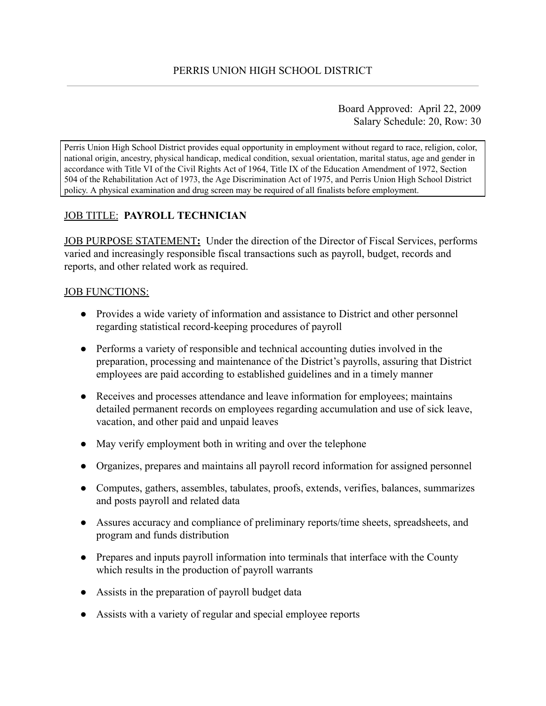Board Approved: April 22, 2009 Salary Schedule: 20, Row: 30

Perris Union High School District provides equal opportunity in employment without regard to race, religion, color, national origin, ancestry, physical handicap, medical condition, sexual orientation, marital status, age and gender in accordance with Title VI of the Civil Rights Act of 1964, Title IX of the Education Amendment of 1972, Section 504 of the Rehabilitation Act of 1973, the Age Discrimination Act of 1975, and Perris Union High School District policy. A physical examination and drug screen may be required of all finalists before employment.

# JOB TITLE: **PAYROLL TECHNICIAN**

JOB PURPOSE STATEMENT: Under the direction of the Director of Fiscal Services, performs varied and increasingly responsible fiscal transactions such as payroll, budget, records and reports, and other related work as required.

### JOB FUNCTIONS:

- Provides a wide variety of information and assistance to District and other personnel regarding statistical record-keeping procedures of payroll
- Performs a variety of responsible and technical accounting duties involved in the preparation, processing and maintenance of the District's payrolls, assuring that District employees are paid according to established guidelines and in a timely manner
- Receives and processes attendance and leave information for employees; maintains detailed permanent records on employees regarding accumulation and use of sick leave, vacation, and other paid and unpaid leaves
- May verify employment both in writing and over the telephone
- Organizes, prepares and maintains all payroll record information for assigned personnel
- Computes, gathers, assembles, tabulates, proofs, extends, verifies, balances, summarizes and posts payroll and related data
- Assures accuracy and compliance of preliminary reports/time sheets, spreadsheets, and program and funds distribution
- Prepares and inputs payroll information into terminals that interface with the County which results in the production of payroll warrants
- Assists in the preparation of payroll budget data
- Assists with a variety of regular and special employee reports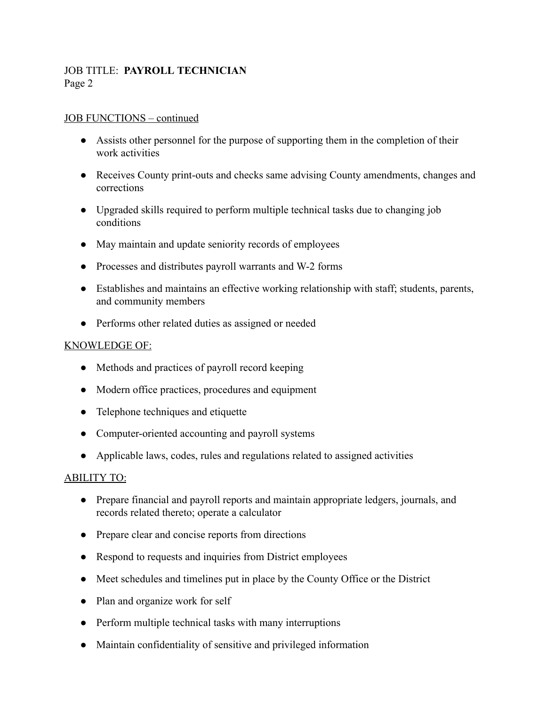## JOB TITLE: **PAYROLL TECHNICIAN** Page 2

### JOB FUNCTIONS – continued

- Assists other personnel for the purpose of supporting them in the completion of their work activities
- Receives County print-outs and checks same advising County amendments, changes and corrections
- Upgraded skills required to perform multiple technical tasks due to changing job conditions
- May maintain and update seniority records of employees
- Processes and distributes payroll warrants and W-2 forms
- Establishes and maintains an effective working relationship with staff; students, parents, and community members
- Performs other related duties as assigned or needed

### KNOWLEDGE OF:

- Methods and practices of payroll record keeping
- Modern office practices, procedures and equipment
- Telephone techniques and etiquette
- Computer-oriented accounting and payroll systems
- Applicable laws, codes, rules and regulations related to assigned activities

## ABILITY TO:

- Prepare financial and payroll reports and maintain appropriate ledgers, journals, and records related thereto; operate a calculator
- Prepare clear and concise reports from directions
- Respond to requests and inquiries from District employees
- Meet schedules and timelines put in place by the County Office or the District
- Plan and organize work for self
- Perform multiple technical tasks with many interruptions
- Maintain confidentiality of sensitive and privileged information